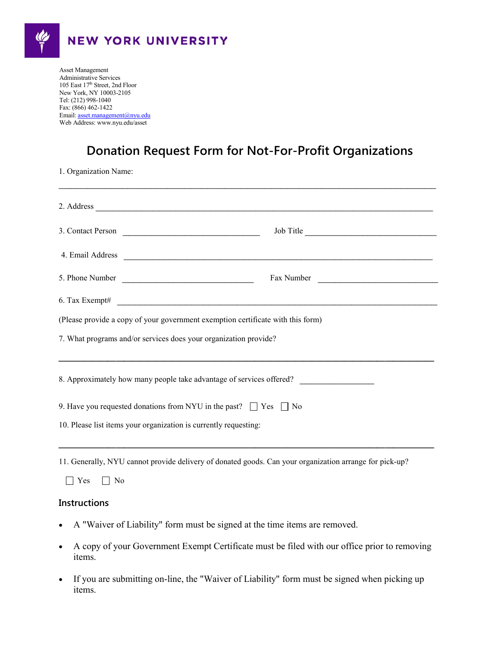

Administrative Services 105 East 17" Street, 2nd Flo<br>New York, NY 10003-2105 Tel: (212) 998-1040<br>Fax: (866) 462-1422 Asset Management 105 East 17<sup>th</sup> Street, 2nd Floor Tel: (212) 998-1040 Email[: asset.management@nyu.edu](mailto:asset.management@nyu.edu) Web Address: www.nyu.edu/asset

## **Donation Request Form for Not-For-Profit Organizations**

1. Organization Name:

|                                                                                 | 2. Address                                                                                                                                                                                                                         |  |  |  |
|---------------------------------------------------------------------------------|------------------------------------------------------------------------------------------------------------------------------------------------------------------------------------------------------------------------------------|--|--|--|
|                                                                                 | 3. Contact Person<br>Job Title                                                                                                                                                                                                     |  |  |  |
|                                                                                 | 4. Email Address <b>Automatical Address Contract Contract Contract Contract Contract Contract Contract Contract Contract Contract Contract Contract Contract Contract Contract Contract Contract Contract Contract Contract Co</b> |  |  |  |
|                                                                                 | 5. Phone Number<br>Fax Number                                                                                                                                                                                                      |  |  |  |
|                                                                                 | 6. Tax Exempt# $\qquad \qquad$                                                                                                                                                                                                     |  |  |  |
| (Please provide a copy of your government exemption certificate with this form) |                                                                                                                                                                                                                                    |  |  |  |
| 7. What programs and/or services does your organization provide?                |                                                                                                                                                                                                                                    |  |  |  |
| 8. Approximately how many people take advantage of services offered?            |                                                                                                                                                                                                                                    |  |  |  |
| 9. Have you requested donations from NYU in the past? $\Box$ Yes $\Box$ No      |                                                                                                                                                                                                                                    |  |  |  |
| 10. Please list items your organization is currently requesting:                |                                                                                                                                                                                                                                    |  |  |  |
|                                                                                 |                                                                                                                                                                                                                                    |  |  |  |

11. Generally, NYU cannot provide delivery of donated goods. Can your organization arrange for pick-up?

| - . |  |  |
|-----|--|--|
|-----|--|--|

## **Instructions**

- A "Waiver of Liability" form must be signed at the time items are removed.
- A copy of your Government Exempt Certificate must be filed with our office prior to removing items.
- If you are submitting on-line, the "Waiver of Liability" form must be signed when picking up items.